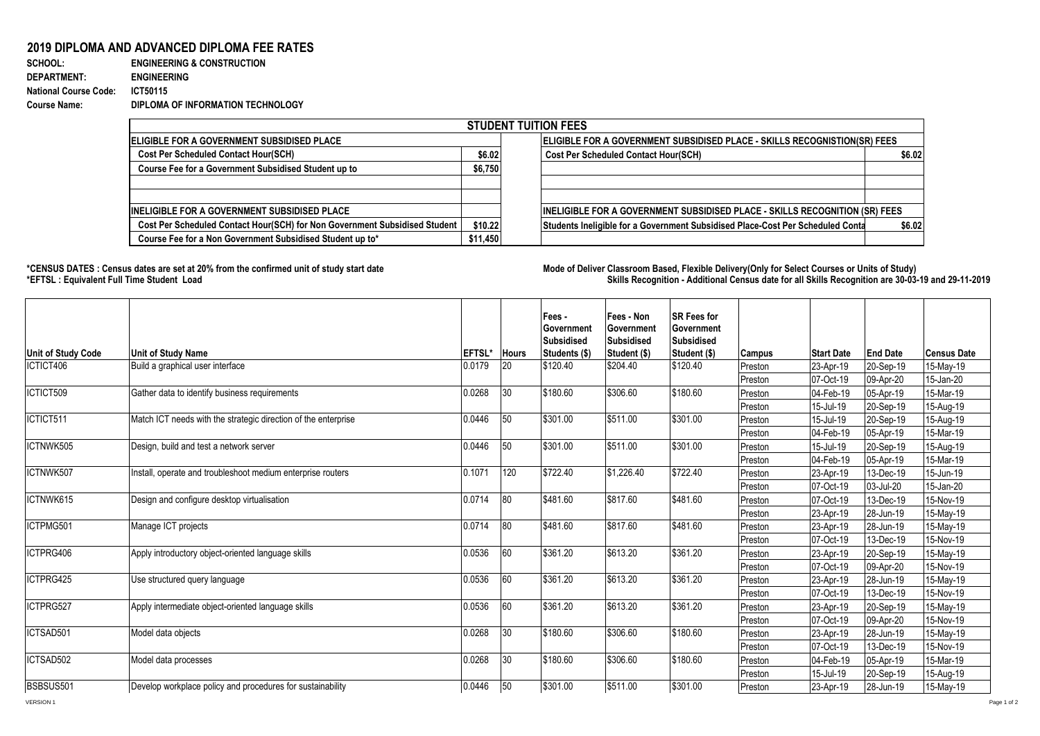## **2019 DIPLOMA AND ADVANCED DIPLOMA FEE RATES**

## **SCHOOL: ENGINEERING & CONSTRUCTION DEPARTMENT: ENGINEERING National Course Code: ICT50115 Course Name: DIPLOMA OF INFORMATION TECHNOLOGY**

| <b>STUDENT TUITION FEES</b>                                                |          |                                                                                          |  |  |  |  |  |  |  |
|----------------------------------------------------------------------------|----------|------------------------------------------------------------------------------------------|--|--|--|--|--|--|--|
| <b>IELIGIBLE FOR A GOVERNMENT SUBSIDISED PLACE</b>                         |          | ELIGIBLE FOR A GOVERNMENT SUBSIDISED PLACE - SKILLS RECOGNISTION(SR) FEES                |  |  |  |  |  |  |  |
| <b>Cost Per Scheduled Contact Hour(SCH)</b>                                | \$6.02   | <b>Cost Per Scheduled Contact Hour(SCH)</b><br>\$6.02                                    |  |  |  |  |  |  |  |
| Course Fee for a Government Subsidised Student up to                       | \$6,750  |                                                                                          |  |  |  |  |  |  |  |
|                                                                            |          |                                                                                          |  |  |  |  |  |  |  |
|                                                                            |          |                                                                                          |  |  |  |  |  |  |  |
| <b>IINELIGIBLE FOR A GOVERNMENT SUBSIDISED PLACE</b>                       |          | INELIGIBLE FOR A GOVERNMENT SUBSIDISED PLACE - SKILLS RECOGNITION (SR) FEES              |  |  |  |  |  |  |  |
| Cost Per Scheduled Contact Hour(SCH) for Non Government Subsidised Student | \$10.22  | Students Ineligible for a Government Subsidised Place-Cost Per Scheduled Conta<br>\$6.02 |  |  |  |  |  |  |  |
| Course Fee for a Non Government Subsidised Student up to*                  | \$11,450 |                                                                                          |  |  |  |  |  |  |  |

1000

**\*CENSUS DATES : Census dates are set at 20% from the confirmed unit of study start date Mode of Delivery:Classroom Based, Flexible Delivery(Only for Select Courses or Units of Study) \*EFTSL : Equivalent Full Time Student Load Skills Recognition - Additional Census date for all Skills Recognition are 30-03-19 and 29-11-2019** 

|                    |                                                                |                |              | Fees -<br>l Government<br>Subsidised | Fees - Non<br>Government<br>Subsidised | <b>SR Fees for</b><br>Government<br>Subsidised |               |                   |                 |                    |
|--------------------|----------------------------------------------------------------|----------------|--------------|--------------------------------------|----------------------------------------|------------------------------------------------|---------------|-------------------|-----------------|--------------------|
| Unit of Study Code | Unit of Study Name                                             | <b>IEFTSL*</b> | <b>Hours</b> | Students (\$)                        | Student (\$)                           | Student (\$)                                   | <b>Campus</b> | <b>Start Date</b> | <b>End Date</b> | <b>Census Date</b> |
| ICTICT406          | Build a graphical user interface                               | 0.0179         | 20           | \$120.40                             | \$204.40                               | \$120.40                                       | Preston       | 23-Apr-19         | 20-Sep-19       | 15-May-19          |
|                    |                                                                |                |              |                                      |                                        |                                                | Preston       | 07-Oct-19         | 09-Apr-20       | 15-Jan-20          |
| ICTICT509          | Gather data to identify business requirements                  | 0.0268         | 30           | \$180.60                             | \$306.60                               | \$180.60                                       | Preston       | 04-Feb-19         | 05-Apr-19       | 15-Mar-19          |
|                    |                                                                |                |              |                                      |                                        |                                                | Preston       | 15-Jul-19         | 20-Sep-19       | 15-Aug-19          |
| ICTICT511          | Match ICT needs with the strategic direction of the enterprise | 0.0446         | 50           | \$301.00                             | \$511.00                               | \$301.00                                       | Preston       | 15-Jul-19         | 20-Sep-19       | 15-Aug-19          |
|                    |                                                                |                |              |                                      |                                        |                                                | Preston       | 04-Feb-19         | 05-Apr-19       | 15-Mar-19          |
| ICTNWK505          | Design, build and test a network server                        | 0.0446         | 50           | \$301.00                             | \$511.00                               | \$301.00                                       | Preston       | 15-Jul-19         | 20-Sep-19       | 15-Aug-19          |
|                    |                                                                |                |              |                                      |                                        |                                                | Preston       | 04-Feb-19         | 05-Apr-19       | 15-Mar-19          |
| ICTNWK507          | Install, operate and troubleshoot medium enterprise routers    | 0.1071         | 120          | \$722.40                             | \$1,226.40                             | $\sqrt{$722.40}$                               | Preston       | 23-Apr-19         | 13-Dec-19       | 15-Jun-19          |
|                    |                                                                |                |              |                                      |                                        |                                                | Preston       | 07-Oct-19         | 03-Jul-20       | 15-Jan-20          |
| ICTNWK615          | Design and configure desktop virtualisation                    | 0.0714         | 80           | \$481.60                             | \$817.60                               | \$481.60                                       | Preston       | 07-Oct-19         | 13-Dec-19       | 15-Nov-19          |
|                    |                                                                |                |              |                                      |                                        |                                                | Preston       | 23-Apr-19         | 28-Jun-19       | 15-May-19          |
| ICTPMG501          | Manage ICT projects                                            | 0.0714         | 80           | \$481.60                             | \$817.60                               | \$481.60                                       | Preston       | 23-Apr-19         | 28-Jun-19       | 15-May-19          |
|                    |                                                                |                |              |                                      |                                        |                                                | Preston       | 07-Oct-19         | 13-Dec-19       | 15-Nov-19          |
| ICTPRG406          | Apply introductory object-oriented language skills             | 0.0536         | 60           | \$361.20                             | \$613.20                               | \$361.20                                       | Preston       | 23-Apr-19         | 20-Sep-19       | 15-May-19          |
|                    |                                                                |                |              |                                      |                                        |                                                | Preston       | 07-Oct-19         | 09-Apr-20       | 15-Nov-19          |
| ICTPRG425          | Use structured query language                                  | 0.0536         | 60           | \$361.20                             | \$613.20                               | \$361.20                                       | Preston       | 23-Apr-19         | 28-Jun-19       | 15-May-19          |
|                    |                                                                |                |              |                                      |                                        |                                                | Preston       | 07-Oct-19         | 13-Dec-19       | 15-Nov-19          |
| ICTPRG527          | Apply intermediate object-oriented language skills             | 0.0536         | 60           | \$361.20                             | \$613.20                               | $\sqrt{$361.20}$                               | Preston       | 23-Apr-19         | 20-Sep-19       | 15-May-19          |
|                    |                                                                |                |              |                                      |                                        |                                                | Preston       | 07-Oct-19         | 09-Apr-20       | 15-Nov-19          |
| ICTSAD501          | Model data objects                                             | 0.0268         | 30           | \$180.60                             | \$306.60                               | \$180.60                                       | Preston       | 23-Apr-19         | 28-Jun-19       | 15-May-19          |
|                    |                                                                |                |              |                                      |                                        |                                                | Preston       | 07-Oct-19         | 13-Dec-19       | 15-Nov-19          |
| ICTSAD502          | Model data processes                                           | 0.0268         | 30           | \$180.60                             | \$306.60                               | \$180.60                                       | Preston       | 04-Feb-19         | 05-Apr-19       | 15-Mar-19          |
|                    |                                                                |                |              |                                      |                                        |                                                | Preston       | 15-Jul-19         | 20-Sep-19       | 15-Aug-19          |
| BSBSUS501          | Develop workplace policy and procedures for sustainability     | 0.0446         | 50           | \$301.00                             | \$511.00                               | \$301.00                                       | Preston       | 23-Apr-19         | 28-Jun-19       | 15-May-19          |